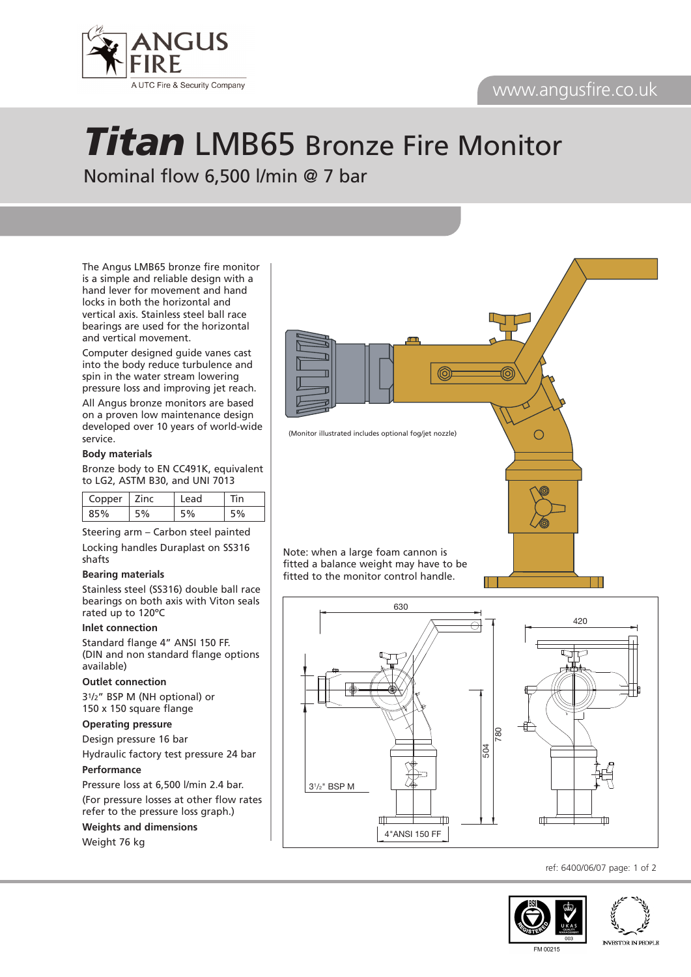## www.angusfire.co.uk



# *Titan* LMB65 Bronze Fire Monitor Nominal flow 6,500 l/min @ 7 bar

The Angus LMB65 bronze fire monitor is a simple and reliable design with a hand lever for movement and hand locks in both the horizontal and vertical axis. Stainless steel ball race bearings are used for the horizontal and vertical movement.

Computer designed guide vanes cast into the body reduce turbulence and spin in the water stream lowering pressure loss and improving jet reach.

All Angus bronze monitors are based on a proven low maintenance design developed over 10 years of world-wide service.

### **Body materials**

Bronze body to EN CC491K, equivalent to LG2, ASTM B30, and UNI 7013

| Copper <sup>1</sup> | ∣ Zinc | Lead | in |
|---------------------|--------|------|----|
| 85%                 |        |      |    |

Steering arm – Carbon steel painted Locking handles Duraplast on SS316 shafts

#### **Bearing materials**

Stainless steel (SS316) double ball race bearings on both axis with Viton seals rated up to 120ºC

### **Inlet connection**

Standard flange 4" ANSI 150 FF. (DIN and non standard flange options available)

#### **Outlet connection**

31/2" BSP M (NH optional) or 150 x 150 square flange

### **Operating pressure**

Design pressure 16 bar

Hydraulic factory test pressure 24 bar

**Performance**

Pressure loss at 6,500 l/min 2.4 bar. (For pressure losses at other flow rates refer to the pressure loss graph.)

**Weights and dimensions**

Weight 76 kg



Note: when a large foam cannon is fitted a balance weight may have to be fitted to the monitor control handle.



ref: 6400/06/07 page: 1 of 2